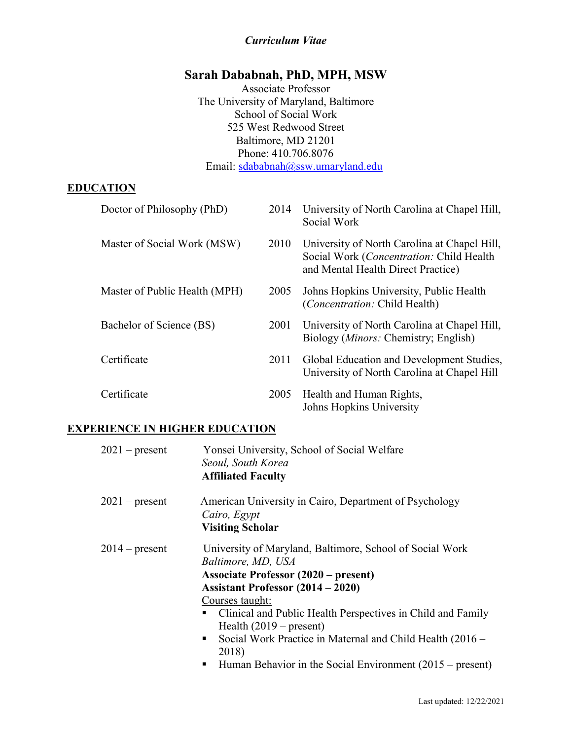# *Curriculum Vitae*

# **Sarah Dababnah, PhD, MPH, MSW**

Associate Professor The University of Maryland, Baltimore School of Social Work 525 West Redwood Street Baltimore, MD 21201 Phone: 410.706.8076 Email: [sdababnah@ssw.umaryland.edu](mailto:sdababnah@umaryland.edu)

#### **EDUCATION**

| Doctor of Philosophy (PhD)    | 2014 | University of North Carolina at Chapel Hill,<br>Social Work                                                                    |
|-------------------------------|------|--------------------------------------------------------------------------------------------------------------------------------|
| Master of Social Work (MSW)   | 2010 | University of North Carolina at Chapel Hill,<br>Social Work (Concentration: Child Health<br>and Mental Health Direct Practice) |
| Master of Public Health (MPH) | 2005 | Johns Hopkins University, Public Health<br><i>(Concentration: Child Health)</i>                                                |
| Bachelor of Science (BS)      | 2001 | University of North Carolina at Chapel Hill,<br>Biology ( <i>Minors:</i> Chemistry; English)                                   |
| Certificate                   | 2011 | Global Education and Development Studies,<br>University of North Carolina at Chapel Hill                                       |
| Certificate                   | 2005 | Health and Human Rights,<br>Johns Hopkins University                                                                           |

# **EXPERIENCE IN HIGHER EDUCATION**

| $2021$ – present | Yonsei University, School of Social Welfare<br>Seoul, South Korea<br><b>Affiliated Faculty</b>                                                                                                                                                                                                                                                                                                                                                          |
|------------------|---------------------------------------------------------------------------------------------------------------------------------------------------------------------------------------------------------------------------------------------------------------------------------------------------------------------------------------------------------------------------------------------------------------------------------------------------------|
| $2021$ – present | American University in Cairo, Department of Psychology<br>Cairo, Egypt<br><b>Visiting Scholar</b>                                                                                                                                                                                                                                                                                                                                                       |
| $2014$ – present | University of Maryland, Baltimore, School of Social Work<br>Baltimore, MD, USA<br><b>Associate Professor (2020 – present)</b><br><b>Assistant Professor (2014 – 2020)</b><br>Courses taught:<br>• Clinical and Public Health Perspectives in Child and Family<br>Health $(2019 - present)$<br>Social Work Practice in Maternal and Child Health (2016 –<br>$\blacksquare$<br>2018)<br>Human Behavior in the Social Environment $(2015 - present)$<br>п. |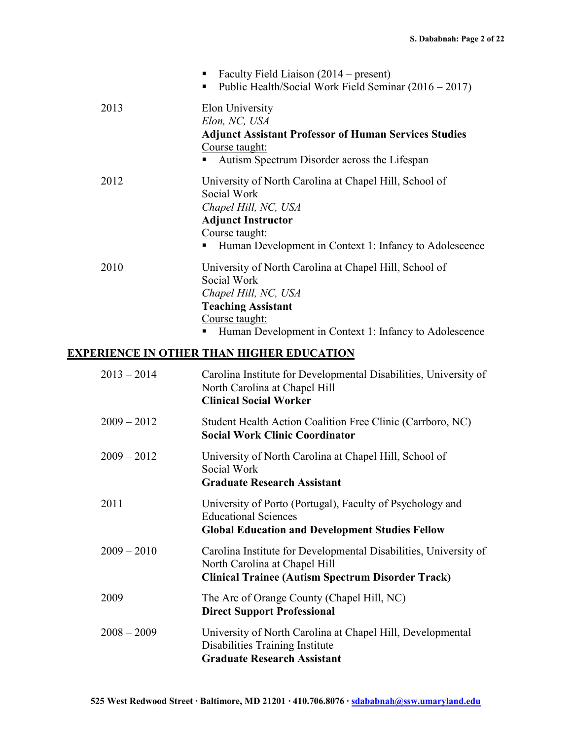|               | Faculty Field Liaison (2014 – present)<br>п<br>Public Health/Social Work Field Seminar (2016 – 2017)<br>٠                                                                                                   |
|---------------|-------------------------------------------------------------------------------------------------------------------------------------------------------------------------------------------------------------|
| 2013          | Elon University<br>Elon, NC, USA<br><b>Adjunct Assistant Professor of Human Services Studies</b><br>Course taught:<br>Autism Spectrum Disorder across the Lifespan                                          |
| 2012          | University of North Carolina at Chapel Hill, School of<br>Social Work<br>Chapel Hill, NC, USA<br><b>Adjunct Instructor</b><br>Course taught:<br>Human Development in Context 1: Infancy to Adolescence<br>п |
| 2010          | University of North Carolina at Chapel Hill, School of<br>Social Work<br>Chapel Hill, NC, USA<br><b>Teaching Assistant</b><br>Course taught:<br>Human Development in Context 1: Infancy to Adolescence<br>٠ |
|               | <b>EXPERIENCE IN OTHER THAN HIGHER EDUCATION</b>                                                                                                                                                            |
| $2013 - 2014$ | Carolina Institute for Developmental Disabilities, University of<br>North Carolina at Chapel Hill<br><b>Clinical Social Worker</b>                                                                          |
| $2009 - 2012$ | Student Health Action Coalition Free Clinic (Carrboro, NC)<br><b>Social Work Clinic Coordinator</b>                                                                                                         |
| $2009 - 2012$ | University of North Carolina at Chapel Hill, School of<br>Social Work<br><b>Graduate Research Assistant</b>                                                                                                 |
| 2011          | University of Porto (Portugal), Faculty of Psychology and<br><b>Educational Sciences</b><br><b>Global Education and Development Studies Fellow</b>                                                          |
| $2009 - 2010$ | Carolina Institute for Developmental Disabilities, University of<br>North Carolina at Chapel Hill<br><b>Clinical Trainee (Autism Spectrum Disorder Track)</b>                                               |
| 2009          | The Arc of Orange County (Chapel Hill, NC)<br><b>Direct Support Professional</b>                                                                                                                            |
| $2008 - 2009$ | University of North Carolina at Chapel Hill, Developmental<br>Disabilities Training Institute<br><b>Graduate Research Assistant</b>                                                                         |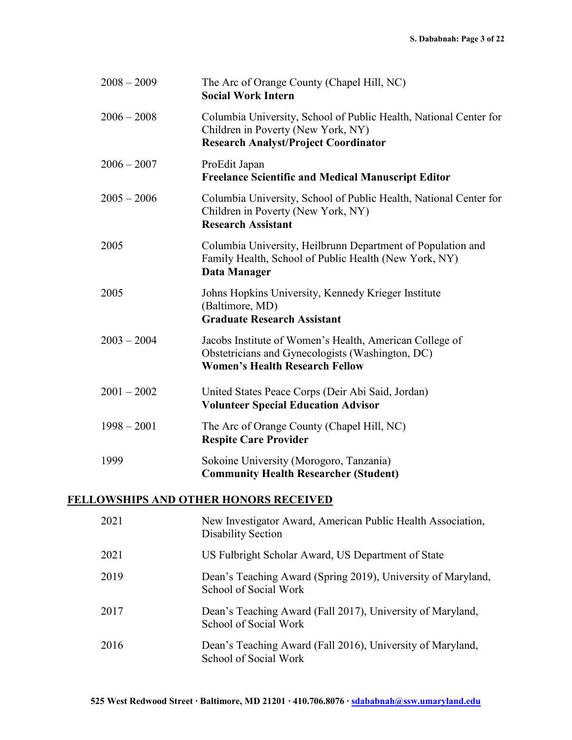| $2008 - 2009$ | The Arc of Orange County (Chapel Hill, NC)<br><b>Social Work Intern</b>                                                                                |
|---------------|--------------------------------------------------------------------------------------------------------------------------------------------------------|
| $2006 - 2008$ | Columbia University, School of Public Health, National Center for<br>Children in Poverty (New York, NY)<br><b>Research Analyst/Project Coordinator</b> |
| $2006 - 2007$ | ProEdit Japan<br><b>Freelance Scientific and Medical Manuscript Editor</b>                                                                             |
| $2005 - 2006$ | Columbia University, School of Public Health, National Center for<br>Children in Poverty (New York, NY)<br><b>Research Assistant</b>                   |
| 2005          | Columbia University, Heilbrunn Department of Population and<br>Family Health, School of Public Health (New York, NY)<br>Data Manager                   |
| 2005          | Johns Hopkins University, Kennedy Krieger Institute<br>(Baltimore, MD)<br><b>Graduate Research Assistant</b>                                           |
| $2003 - 2004$ | Jacobs Institute of Women's Health, American College of<br>Obstetricians and Gynecologists (Washington, DC)<br><b>Women's Health Research Fellow</b>   |
| $2001 - 2002$ | United States Peace Corps (Deir Abi Said, Jordan)<br><b>Volunteer Special Education Advisor</b>                                                        |
| $1998 - 2001$ | The Arc of Orange County (Chapel Hill, NC)<br><b>Respite Care Provider</b>                                                                             |
| 1999          | Sokoine University (Morogoro, Tanzania)<br><b>Community Health Researcher (Student)</b>                                                                |

# **FELLOWSHIPS AND OTHER HONORS RECEIVED**

| 2021 | New Investigator Award, American Public Health Association,<br><b>Disability Section</b> |
|------|------------------------------------------------------------------------------------------|
| 2021 | US Fulbright Scholar Award, US Department of State                                       |
| 2019 | Dean's Teaching Award (Spring 2019), University of Maryland,<br>School of Social Work    |
| 2017 | Dean's Teaching Award (Fall 2017), University of Maryland,<br>School of Social Work      |
| 2016 | Dean's Teaching Award (Fall 2016), University of Maryland,<br>School of Social Work      |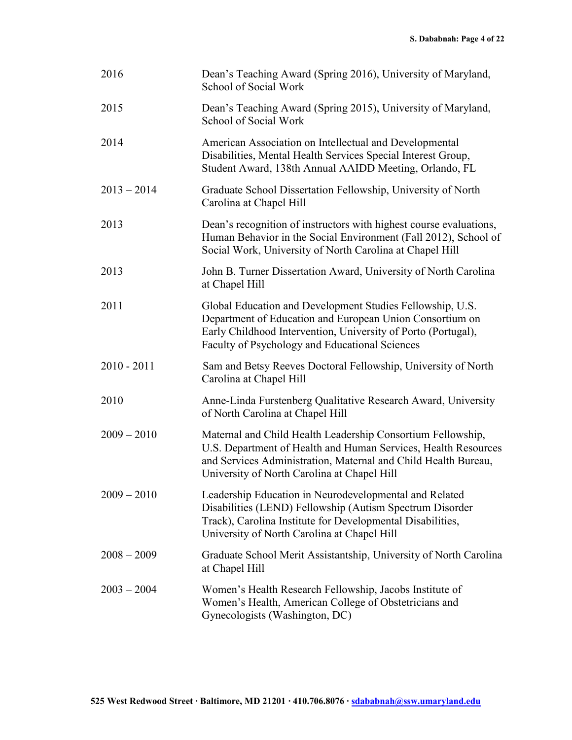| 2016          | Dean's Teaching Award (Spring 2016), University of Maryland,<br>School of Social Work                                                                                                                                                          |
|---------------|------------------------------------------------------------------------------------------------------------------------------------------------------------------------------------------------------------------------------------------------|
| 2015          | Dean's Teaching Award (Spring 2015), University of Maryland,<br>School of Social Work                                                                                                                                                          |
| 2014          | American Association on Intellectual and Developmental<br>Disabilities, Mental Health Services Special Interest Group,<br>Student Award, 138th Annual AAIDD Meeting, Orlando, FL                                                               |
| $2013 - 2014$ | Graduate School Dissertation Fellowship, University of North<br>Carolina at Chapel Hill                                                                                                                                                        |
| 2013          | Dean's recognition of instructors with highest course evaluations,<br>Human Behavior in the Social Environment (Fall 2012), School of<br>Social Work, University of North Carolina at Chapel Hill                                              |
| 2013          | John B. Turner Dissertation Award, University of North Carolina<br>at Chapel Hill                                                                                                                                                              |
| 2011          | Global Education and Development Studies Fellowship, U.S.<br>Department of Education and European Union Consortium on<br>Early Childhood Intervention, University of Porto (Portugal),<br>Faculty of Psychology and Educational Sciences       |
| $2010 - 2011$ | Sam and Betsy Reeves Doctoral Fellowship, University of North<br>Carolina at Chapel Hill                                                                                                                                                       |
| 2010          | Anne-Linda Furstenberg Qualitative Research Award, University<br>of North Carolina at Chapel Hill                                                                                                                                              |
| $2009 - 2010$ | Maternal and Child Health Leadership Consortium Fellowship,<br>U.S. Department of Health and Human Services, Health Resources<br>and Services Administration, Maternal and Child Health Bureau,<br>University of North Carolina at Chapel Hill |
| $2009 - 2010$ | Leadership Education in Neurodevelopmental and Related<br>Disabilities (LEND) Fellowship (Autism Spectrum Disorder<br>Track), Carolina Institute for Developmental Disabilities,<br>University of North Carolina at Chapel Hill                |
| $2008 - 2009$ | Graduate School Merit Assistantship, University of North Carolina<br>at Chapel Hill                                                                                                                                                            |
| $2003 - 2004$ | Women's Health Research Fellowship, Jacobs Institute of<br>Women's Health, American College of Obstetricians and<br>Gynecologists (Washington, DC)                                                                                             |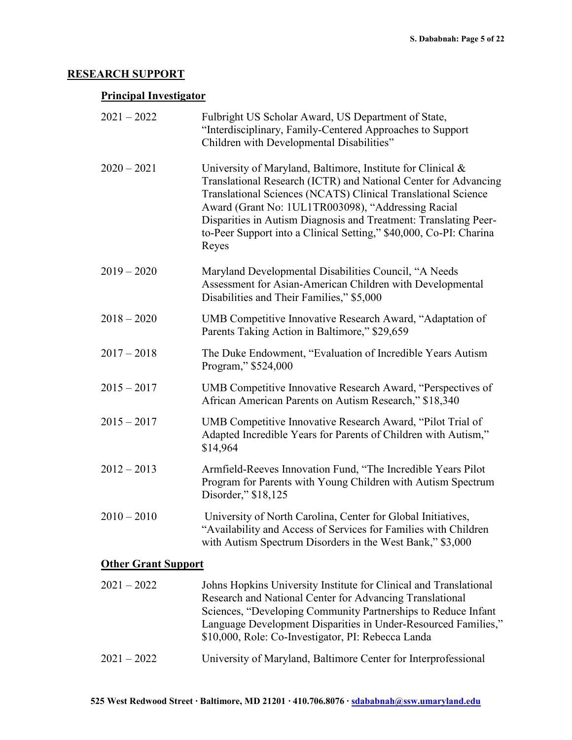# **RESEARCH SUPPORT**

# **Principal Investigator**

| $2021 - 2022$              | Fulbright US Scholar Award, US Department of State,<br>"Interdisciplinary, Family-Centered Approaches to Support<br>Children with Developmental Disabilities"                                                                                                                                                                                                                                            |
|----------------------------|----------------------------------------------------------------------------------------------------------------------------------------------------------------------------------------------------------------------------------------------------------------------------------------------------------------------------------------------------------------------------------------------------------|
| $2020 - 2021$              | University of Maryland, Baltimore, Institute for Clinical &<br>Translational Research (ICTR) and National Center for Advancing<br>Translational Sciences (NCATS) Clinical Translational Science<br>Award (Grant No: 1UL1TR003098), "Addressing Racial<br>Disparities in Autism Diagnosis and Treatment: Translating Peer-<br>to-Peer Support into a Clinical Setting," \$40,000, Co-PI: Charina<br>Reyes |
| $2019 - 2020$              | Maryland Developmental Disabilities Council, "A Needs<br>Assessment for Asian-American Children with Developmental<br>Disabilities and Their Families," \$5,000                                                                                                                                                                                                                                          |
| $2018 - 2020$              | UMB Competitive Innovative Research Award, "Adaptation of<br>Parents Taking Action in Baltimore," \$29,659                                                                                                                                                                                                                                                                                               |
| $2017 - 2018$              | The Duke Endowment, "Evaluation of Incredible Years Autism<br>Program," \$524,000                                                                                                                                                                                                                                                                                                                        |
| $2015 - 2017$              | UMB Competitive Innovative Research Award, "Perspectives of<br>African American Parents on Autism Research," \$18,340                                                                                                                                                                                                                                                                                    |
| $2015 - 2017$              | UMB Competitive Innovative Research Award, "Pilot Trial of<br>Adapted Incredible Years for Parents of Children with Autism,"<br>\$14,964                                                                                                                                                                                                                                                                 |
| $2012 - 2013$              | Armfield-Reeves Innovation Fund, "The Incredible Years Pilot<br>Program for Parents with Young Children with Autism Spectrum<br>Disorder," \$18,125                                                                                                                                                                                                                                                      |
| $2010 - 2010$              | University of North Carolina, Center for Global Initiatives,<br>'Availability and Access of Services for Families with Children<br>with Autism Spectrum Disorders in the West Bank," \$3,000                                                                                                                                                                                                             |
| <b>Other Grant Support</b> |                                                                                                                                                                                                                                                                                                                                                                                                          |
| $2021 - 2022$              | Johns Hopkins University Institute for Clinical and Translational<br>Research and National Center for Advancing Translational                                                                                                                                                                                                                                                                            |

| $\sim$ 0 $\sim$ 1 | $\sim$ $\sim$ $\sim$ | JOHNS LIOPKINS OINVOISIty HISHERIC IOI CHINCAI ANG TTANSIAHOHAI |
|-------------------|----------------------|-----------------------------------------------------------------|
|                   |                      | Research and National Center for Advancing Translational        |
|                   |                      | Sciences, "Developing Community Partnerships to Reduce Infant   |
|                   |                      | Language Development Disparities in Under-Resourced Families,"  |
|                   |                      | \$10,000, Role: Co-Investigator, PI: Rebecca Landa              |
| $2021 - 2022$     |                      | University of Maryland, Baltimore Center for Interprofessional  |
|                   |                      |                                                                 |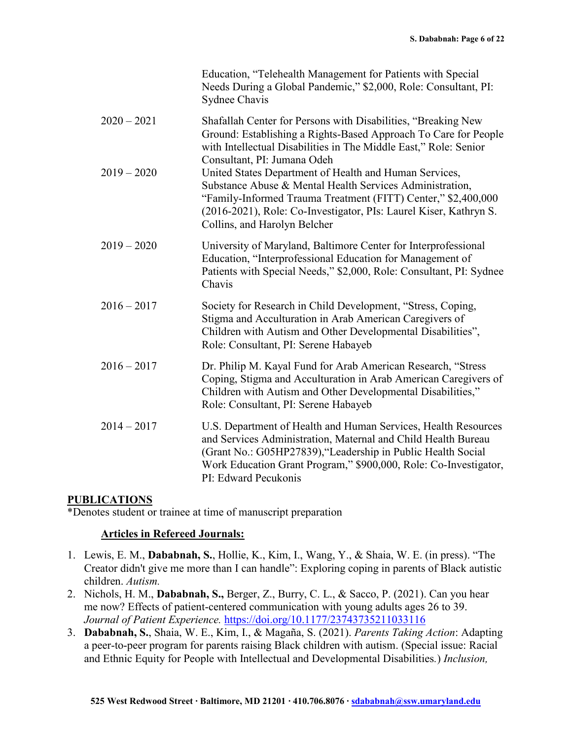|               | Education, "Telehealth Management for Patients with Special<br>Needs During a Global Pandemic," \$2,000, Role: Consultant, PI:<br>Sydnee Chavis                                                                                                                                             |
|---------------|---------------------------------------------------------------------------------------------------------------------------------------------------------------------------------------------------------------------------------------------------------------------------------------------|
| $2020 - 2021$ | Shafallah Center for Persons with Disabilities, "Breaking New<br>Ground: Establishing a Rights-Based Approach To Care for People<br>with Intellectual Disabilities in The Middle East," Role: Senior<br>Consultant, PI: Jumana Odeh                                                         |
| $2019 - 2020$ | United States Department of Health and Human Services,<br>Substance Abuse & Mental Health Services Administration,<br>"Family-Informed Trauma Treatment (FITT) Center," \$2,400,000<br>(2016-2021), Role: Co-Investigator, PIs: Laurel Kiser, Kathryn S.<br>Collins, and Harolyn Belcher    |
| $2019 - 2020$ | University of Maryland, Baltimore Center for Interprofessional<br>Education, "Interprofessional Education for Management of<br>Patients with Special Needs," \$2,000, Role: Consultant, PI: Sydnee<br>Chavis                                                                                |
| $2016 - 2017$ | Society for Research in Child Development, "Stress, Coping,<br>Stigma and Acculturation in Arab American Caregivers of<br>Children with Autism and Other Developmental Disabilities",<br>Role: Consultant, PI: Serene Habayeb                                                               |
| $2016 - 2017$ | Dr. Philip M. Kayal Fund for Arab American Research, "Stress<br>Coping, Stigma and Acculturation in Arab American Caregivers of<br>Children with Autism and Other Developmental Disabilities,"<br>Role: Consultant, PI: Serene Habayeb                                                      |
| $2014 - 2017$ | U.S. Department of Health and Human Services, Health Resources<br>and Services Administration, Maternal and Child Health Bureau<br>(Grant No.: G05HP27839), "Leadership in Public Health Social<br>Work Education Grant Program," \$900,000, Role: Co-Investigator,<br>PI: Edward Pecukonis |

#### **PUBLICATIONS**

\*Denotes student or trainee at time of manuscript preparation

#### **Articles in Refereed Journals:**

- 1. Lewis, E. M., **Dababnah, S.**, Hollie, K., Kim, I., Wang, Y., & Shaia, W. E. (in press). "The Creator didn't give me more than I can handle": Exploring coping in parents of Black autistic children. *Autism.*
- 2. Nichols, H. M., **Dababnah, S.,** Berger, Z., Burry, C. L., & Sacco, P. (2021). Can you hear me now? Effects of patient-centered communication with young adults ages 26 to 39. *Journal of Patient Experience.* <https://doi.org/10.1177/23743735211033116>
- 3. **Dababnah, S.**, Shaia, W. E., Kim, I., & Magaña, S. (2021). *Parents Taking Action*: Adapting a peer-to-peer program for parents raising Black children with autism. (Special issue: Racial and Ethnic Equity for People with Intellectual and Developmental Disabilities*.*) *Inclusion,*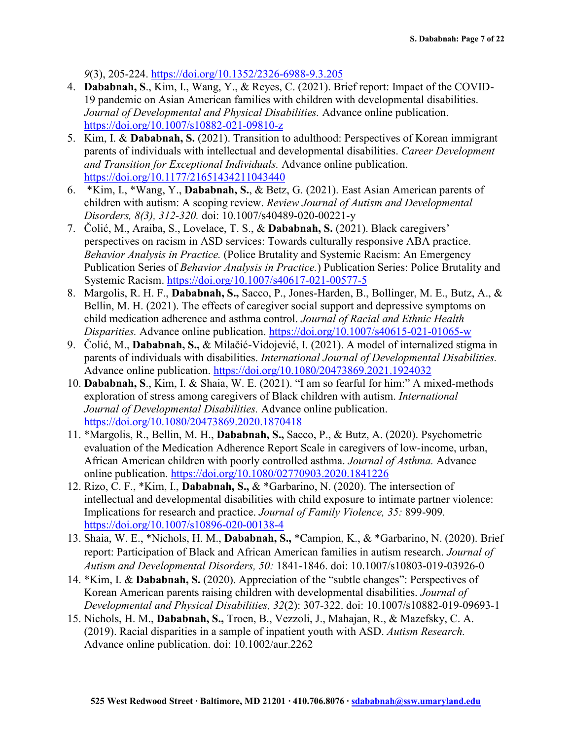*9*(3), 205-224.<https://doi.org/10.1352/2326-6988-9.3.205>

- 4. **Dababnah, S**., Kim, I., Wang, Y., & Reyes, C. (2021). Brief report: Impact of the COVID-19 pandemic on Asian American families with children with developmental disabilities. *Journal of Developmental and Physical Disabilities.* Advance online publication. <https://doi.org/10.1007/s10882-021-09810-z>
- 5. Kim, I. & **Dababnah, S.** (2021). Transition to adulthood: Perspectives of Korean immigrant parents of individuals with intellectual and developmental disabilities. *Career Development and Transition for Exceptional Individuals.* Advance online publication. <https://doi.org/10.1177/21651434211043440>
- 6. \*Kim, I., \*Wang, Y., **Dababnah, S.**, & Betz, G. (2021). East Asian American parents of children with autism: A scoping review. *Review Journal of Autism and Developmental Disorders, 8(3), 312-320.* doi: 10.1007/s40489-020-00221-y
- 7. Čolić, M., Araiba, S., Lovelace, T. S., & **Dababnah, S.** (2021). Black caregivers' perspectives on racism in ASD services: Towards culturally responsive ABA practice. *Behavior Analysis in Practice.* (Police Brutality and Systemic Racism: An Emergency Publication Series of *Behavior Analysis in Practice.*) Publication Series: Police Brutality and Systemic Racism. <https://doi.org/10.1007/s40617-021-00577-5>
- 8. Margolis, R. H. F., **Dababnah, S.,** Sacco, P., Jones-Harden, B., Bollinger, M. E., Butz, A., & Bellin, M. H. (2021). The effects of caregiver social support and depressive symptoms on child medication adherence and asthma control. *Journal of Racial and Ethnic Health Disparities.* Advance online publication. <https://doi.org/10.1007/s40615-021-01065-w>
- 9. Čolić, M., **Dababnah, S.,** & Milačić-Vidojević, I. (2021). A model of internalized stigma in parents of individuals with disabilities. *International Journal of Developmental Disabilities.* Advance online publication. <https://doi.org/10.1080/20473869.2021.1924032>
- 10. **Dababnah, S**., Kim, I. & Shaia, W. E. (2021). "I am so fearful for him:" A mixed-methods exploration of stress among caregivers of Black children with autism. *International Journal of Developmental Disabilities.* Advance online publication. <https://doi.org/10.1080/20473869.2020.1870418>
- 11. \*Margolis, R., Bellin, M. H., **Dababnah, S.,** Sacco, P., & Butz, A. (2020). Psychometric evaluation of the Medication Adherence Report Scale in caregivers of low-income, urban, African American children with poorly controlled asthma. *Journal of Asthma.* Advance online publication.<https://doi.org/10.1080/02770903.2020.1841226>
- 12. Rizo, C. F., \*Kim, I., **Dababnah, S.,** & \*Garbarino, N. (2020). The intersection of intellectual and developmental disabilities with child exposure to intimate partner violence: Implications for research and practice. *Journal of Family Violence, 35:* 899-909*.*  <https://doi.org/10.1007/s10896-020-00138-4>
- 13. Shaia, W. E., \*Nichols, H. M., **Dababnah, S.,** \*Campion, K., & \*Garbarino, N. (2020). Brief report: Participation of Black and African American families in autism research. *Journal of Autism and Developmental Disorders, 50:* 1841-1846. doi: 10.1007/s10803-019-03926-0
- 14. \*Kim, I. & **Dababnah, S.** (2020). Appreciation of the "subtle changes": Perspectives of Korean American parents raising children with developmental disabilities. *Journal of Developmental and Physical Disabilities, 32*(2): 307-322. doi: 10.1007/s10882-019-09693-1
- 15. Nichols, H. M., **Dababnah, S.,** Troen, B., Vezzoli, J., Mahajan, R., & Mazefsky, C. A. (2019). Racial disparities in a sample of inpatient youth with ASD. *Autism Research.* Advance online publication. doi: 10.1002/aur.2262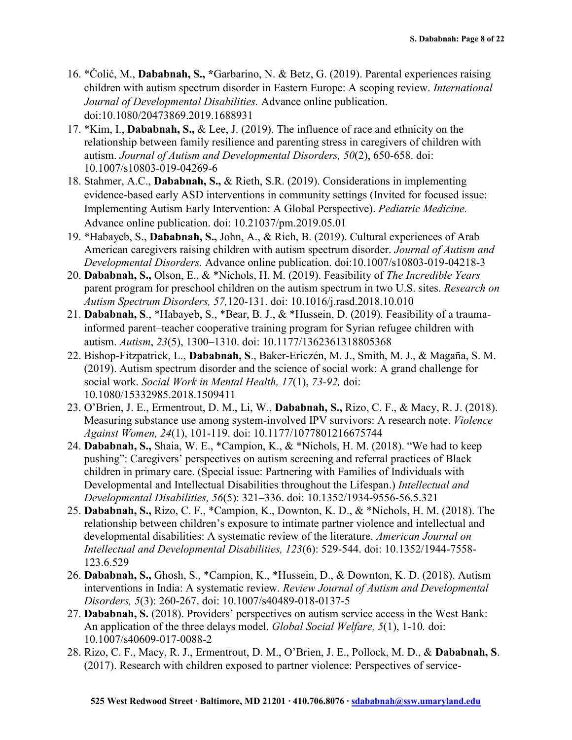- 16. \*Čolić, M., **Dababnah, S., \***Garbarino, N. & Betz, G. (2019). Parental experiences raising children with autism spectrum disorder in Eastern Europe: A scoping review. *International Journal of Developmental Disabilities.* Advance online publication. doi:10.1080/20473869.2019.1688931
- 17. \*Kim, I., **Dababnah, S.,** & Lee, J. (2019). The influence of race and ethnicity on the relationship between family resilience and parenting stress in caregivers of children with autism. *Journal of Autism and Developmental Disorders, 50*(2), 650-658. doi: 10.1007/s10803-019-04269-6
- 18. Stahmer, A.C., **Dababnah, S.,** & Rieth, S.R. (2019). Considerations in implementing evidence-based early ASD interventions in community settings (Invited for focused issue: Implementing Autism Early Intervention: A Global Perspective). *Pediatric Medicine.* Advance online publication. doi: 10.21037/pm.2019.05.01
- 19. \*Habayeb, S., **Dababnah, S.,** John, A., & Rich, B. (2019). Cultural experiences of Arab American caregivers raising children with autism spectrum disorder. *Journal of Autism and Developmental Disorders.* Advance online publication. doi:10.1007/s10803-019-04218-3
- 20. **Dababnah, S.,** Olson, E., & \*Nichols, H. M. (2019). Feasibility of *The Incredible Years* parent program for preschool children on the autism spectrum in two U.S. sites. *Research on Autism Spectrum Disorders, 57,*120-131. doi: 10.1016/j.rasd.2018.10.010
- 21. **Dababnah, S**., \*Habayeb, S., \*Bear, B. J., & \*Hussein, D. (2019). Feasibility of a traumainformed parent–teacher cooperative training program for Syrian refugee children with autism. *Autism*, *23*(5), 1300–1310. doi: 10.1177/1362361318805368
- 22. Bishop-Fitzpatrick, L., **Dababnah, S**., Baker-Ericzén, M. J., Smith, M. J., & Magaña, S. M. (2019). Autism spectrum disorder and the science of social work: A grand challenge for social work. *Social Work in Mental Health, 17*(1), *73-92,* doi: 10.1080/15332985.2018.1509411
- 23. O'Brien, J. E., Ermentrout, D. M., Li, W., **Dababnah, S.,** Rizo, C. F., & Macy, R. J. (2018). Measuring substance use among system-involved IPV survivors: A research note. *Violence Against Women, 24*(1), 101-119. doi: 10.1177/1077801216675744
- 24. **Dababnah, S.,** Shaia, W. E., \*Campion, K., & \*Nichols, H. M. (2018). "We had to keep pushing": Caregivers' perspectives on autism screening and referral practices of Black children in primary care. (Special issue: Partnering with Families of Individuals with Developmental and Intellectual Disabilities throughout the Lifespan.) *Intellectual and Developmental Disabilities, 56*(5): 321–336. doi: 10.1352/1934-9556-56.5.321
- 25. **Dababnah, S.,** Rizo, C. F., \*Campion, K., Downton, K. D., & \*Nichols, H. M. (2018). The relationship between children's exposure to intimate partner violence and intellectual and developmental disabilities: A systematic review of the literature. *American Journal on Intellectual and Developmental Disabilities, 123*(6): 529-544. doi: 10.1352/1944-7558- 123.6.529
- 26. **Dababnah, S.,** Ghosh, S., \*Campion, K., \*Hussein, D., & Downton, K. D. (2018). Autism interventions in India: A systematic review. *Review Journal of Autism and Developmental Disorders, 5*(3): 260-267. doi: 10.1007/s40489-018-0137-5
- 27. **Dababnah, S.** (2018). Providers' perspectives on autism service access in the West Bank: An application of the three delays model. *Global Social Welfare, 5*(1), 1-10*.* doi: 10.1007/s40609-017-0088-2
- 28. Rizo, C. F., Macy, R. J., Ermentrout, D. M., O'Brien, J. E., Pollock, M. D., & **Dababnah, S**. (2017). Research with children exposed to partner violence: Perspectives of service-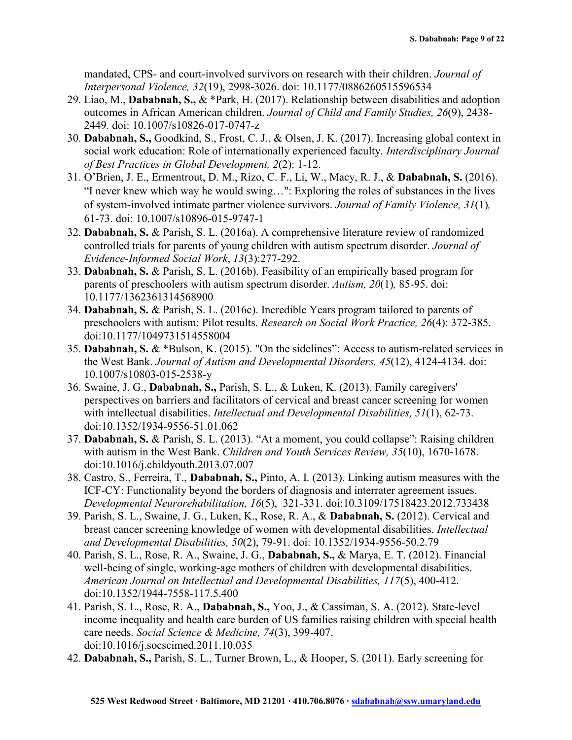mandated, CPS- and court-involved survivors on research with their children. *Journal of Interpersonal Violence, 32*(19), 2998-3026. doi: 10.1177/0886260515596534

- 29. Liao, M., **Dababnah, S.,** & \*Park, H. (2017). Relationship between disabilities and adoption outcomes in African American children. *Journal of Child and Family Studies, 26*(9), 2438- 2449*.* doi: 10.1007/s10826-017-0747-z
- 30. **Dababnah, S.,** Goodkind, S., Frost, C. J., & Olsen, J. K. (2017). Increasing global context in social work education: Role of internationally experienced faculty. *Interdisciplinary Journal of Best Practices in Global Development, 2*(2): 1-12.
- 31. O'Brien, J. E., Ermentrout, D. M., Rizo, C. F., Li, W., Macy, R. J., & **Dababnah, S.** (2016). "I never knew which way he would swing…": Exploring the roles of substances in the lives of system-involved intimate partner violence survivors. *Journal of Family Violence, 31*(1)*,*  61-73. doi: 10.1007/s10896-015-9747-1
- 32. **Dababnah, S.** & Parish, S. L. (2016a). A comprehensive literature review of randomized controlled trials for parents of young children with autism spectrum disorder. *Journal of Evidence-Informed Social Work*, *13*(3):277-292.
- 33. **Dababnah, S.** & Parish, S. L. (2016b). Feasibility of an empirically based program for parents of preschoolers with autism spectrum disorder. *Autism, 20*(1)*,* 85-95. doi: 10.1177/1362361314568900
- 34. **Dababnah, S.** & Parish, S. L. (2016c). Incredible Years program tailored to parents of preschoolers with autism: Pilot results. *Research on Social Work Practice, 26*(4): 372-385. doi:10.1177/1049731514558004
- 35. **Dababnah, S.** & \*Bulson, K. (2015). "On the sidelines": Access to autism-related services in the West Bank. *Journal of Autism and Developmental Disorders, 45*(12), 4124-4134*.* doi: 10.1007/s10803-015-2538-y
- 36. Swaine, J. G., **Dababnah, S.,** Parish, S. L., & Luken, K. (2013). Family caregivers' perspectives on barriers and facilitators of cervical and breast cancer screening for women with intellectual disabilities. *Intellectual and Developmental Disabilities, 51*(1), 62-73. doi:10.1352/1934-9556-51.01.062
- 37. **Dababnah, S.** & Parish, S. L. (2013). "At a moment, you could collapse": Raising children with autism in the West Bank. *Children and Youth Services Review, 35*(10), 1670-1678. doi:10.1016/j.childyouth.2013.07.007
- 38. Castro, S., Ferreira, T., **Dababnah, S.,** Pinto, A. I. (2013). Linking autism measures with the ICF-CY: Functionality beyond the borders of diagnosis and interrater agreement issues. *Developmental Neurorehabilitation, 16*(5), 321-331. doi:10.3109/17518423.2012.733438
- 39. Parish, S. L., Swaine, J. G., Luken, K., Rose, R. A., & **Dababnah, S.** (2012). Cervical and breast cancer screening knowledge of women with developmental disabilities. *Intellectual and Developmental Disabilities, 50*(2), 79-91. doi: 10.1352/1934-9556-50.2.79
- 40. Parish, S. L., Rose, R. A., Swaine, J. G., **Dababnah, S.,** & Marya, E. T. (2012). Financial well-being of single, working-age mothers of children with developmental disabilities. *American Journal on Intellectual and Developmental Disabilities, 117*(5), 400-412. doi:10.1352/1944-7558-117.5.400
- 41. Parish, S. L., Rose, R. A., **Dababnah, S.,** Yoo, J., & Cassiman, S. A. (2012). State-level income inequality and health care burden of US families raising children with special health care needs. *Social Science & Medicine, 74*(3), 399-407. doi:10.1016/j.socscimed.2011.10.035
- 42. **Dababnah, S.,** Parish, S. L., Turner Brown, L., & Hooper, S. (2011). Early screening for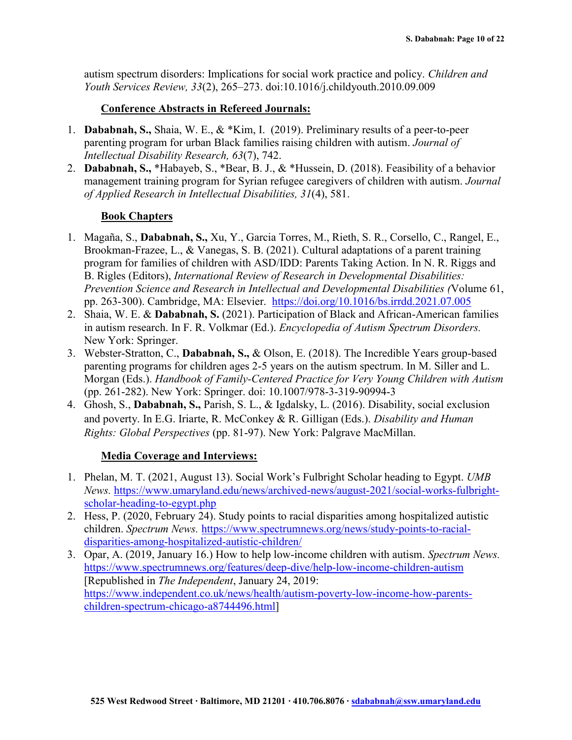autism spectrum disorders: Implications for social work practice and policy. *Children and Youth Services Review, 33*(2), 265–273. doi:10.1016/j.childyouth.2010.09.009

## **Conference Abstracts in Refereed Journals:**

- 1. **Dababnah, S.,** Shaia, W. E., & \*Kim, I. (2019). Preliminary results of a peer-to-peer parenting program for urban Black families raising children with autism. *Journal of Intellectual Disability Research, 63*(7), 742.
- 2. **Dababnah, S.,** \*Habayeb, S., \*Bear, B. J., & \*Hussein, D. (2018). Feasibility of a behavior management training program for Syrian refugee caregivers of children with autism. *Journal of Applied Research in Intellectual Disabilities, 31*(4), 581.

# **Book Chapters**

- 1. Magaña, S., **Dababnah, S.,** Xu, Y., Garcia Torres, M., Rieth, S. R., Corsello, C., Rangel, E., Brookman-Frazee, L., & Vanegas, S. B. (2021). Cultural adaptations of a parent training program for families of children with ASD/IDD: Parents Taking Action. In N. R. Riggs and B. Rigles (Editors), *International Review of Research in Developmental Disabilities: Prevention Science and Research in Intellectual and Developmental Disabilities (*Volume 61, pp. 263-300). Cambridge, MA: Elsevier. <https://doi.org/10.1016/bs.irrdd.2021.07.005>
- 2. Shaia, W. E. & **Dababnah, S.** (2021). Participation of Black and African-American families in autism research. In F. R. Volkmar (Ed.). *Encyclopedia of Autism Spectrum Disorders.*  New York: Springer.
- 3. Webster-Stratton, C., **Dababnah, S.,** & Olson, E. (2018). The Incredible Years group-based parenting programs for children ages 2-5 years on the autism spectrum. In M. Siller and L. Morgan (Eds.). *Handbook of Family-Centered Practice for Very Young Children with Autism* (pp. 261-282). New York: Springer. doi: 10.1007/978-3-319-90994-3
- 4. Ghosh, S., **Dababnah, S.,** Parish, S. L., & Igdalsky, L. (2016). Disability, social exclusion and poverty. In E.G. Iriarte, R. McConkey & R. Gilligan (Eds.). *Disability and Human Rights: Global Perspectives* (pp. 81-97). New York: Palgrave MacMillan.

#### **Media Coverage and Interviews:**

- 1. Phelan, M. T. (2021, August 13). Social Work's Fulbright Scholar heading to Egypt. *UMB News.* [https://www.umaryland.edu/news/archived-news/august-2021/social-works-fulbright](https://www.umaryland.edu/news/archived-news/august-2021/social-works-fulbright-scholar-heading-to-egypt.php)[scholar-heading-to-egypt.php](https://www.umaryland.edu/news/archived-news/august-2021/social-works-fulbright-scholar-heading-to-egypt.php)
- 2. Hess, P. (2020, February 24). Study points to racial disparities among hospitalized autistic children. *Spectrum News.* [https://www.spectrumnews.org/news/study-points-to-racial](https://www.spectrumnews.org/news/study-points-to-racial-disparities-among-hospitalized-autistic-children/)[disparities-among-hospitalized-autistic-children/](https://www.spectrumnews.org/news/study-points-to-racial-disparities-among-hospitalized-autistic-children/)
- 3. Opar, A. (2019, January 16.) How to help low-income children with autism. *Spectrum News.*  <https://www.spectrumnews.org/features/deep-dive/help-low-income-children-autism> [Republished in *The Independent*, January 24, 2019: [https://www.independent.co.uk/news/health/autism-poverty-low-income-how-parents](https://www.independent.co.uk/news/health/autism-poverty-low-income-how-parents-children-spectrum-chicago-a8744496.html)[children-spectrum-chicago-a8744496.html\]](https://www.independent.co.uk/news/health/autism-poverty-low-income-how-parents-children-spectrum-chicago-a8744496.html)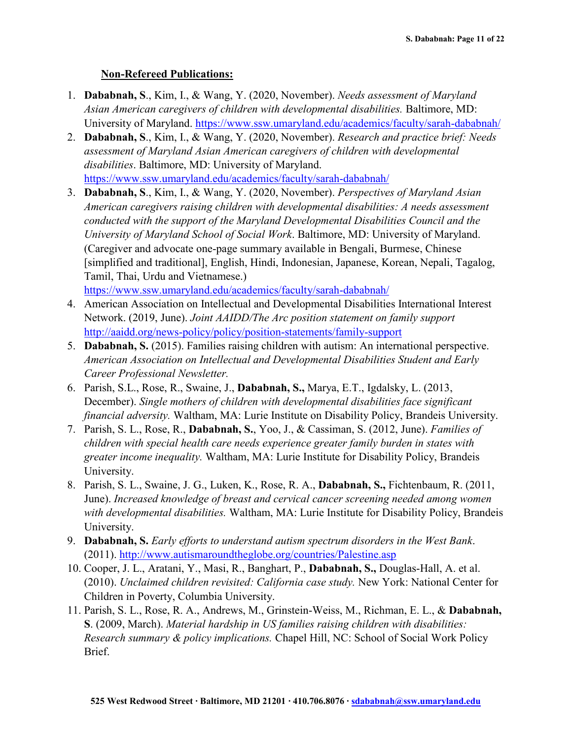# **Non-Refereed Publications:**

- 1. **Dababnah, S**., Kim, I., & Wang, Y. (2020, November). *Needs assessment of Maryland Asian American caregivers of children with developmental disabilities.* Baltimore, MD: University of Maryland.<https://www.ssw.umaryland.edu/academics/faculty/sarah-dababnah/>
- 2. **Dababnah, S**., Kim, I., & Wang, Y. (2020, November). *Research and practice brief: Needs assessment of Maryland Asian American caregivers of children with developmental disabilities*. Baltimore, MD: University of Maryland. <https://www.ssw.umaryland.edu/academics/faculty/sarah-dababnah/>
- 3. **Dababnah, S**., Kim, I., & Wang, Y. (2020, November). *Perspectives of Maryland Asian American caregivers raising children with developmental disabilities: A needs assessment conducted with the support of the Maryland Developmental Disabilities Council and the University of Maryland School of Social Work*. Baltimore, MD: University of Maryland. (Caregiver and advocate one-page summary available in Bengali, Burmese, Chinese [simplified and traditional], English, Hindi, Indonesian, Japanese, Korean, Nepali, Tagalog, Tamil, Thai, Urdu and Vietnamese.)

<https://www.ssw.umaryland.edu/academics/faculty/sarah-dababnah/>

- 4. American Association on Intellectual and Developmental Disabilities International Interest Network. (2019, June). *Joint AAIDD/The Arc position statement on family support* <http://aaidd.org/news-policy/policy/position-statements/family-support>
- 5. **Dababnah, S.** (2015). Families raising children with autism: An international perspective. *American Association on Intellectual and Developmental Disabilities Student and Early Career Professional Newsletter.*
- 6. Parish, S.L., Rose, R., Swaine, J., **Dababnah, S.,** Marya, E.T., Igdalsky, L. (2013, December). *Single mothers of children with developmental disabilities face significant financial adversity.* Waltham, MA: Lurie Institute on Disability Policy, Brandeis University.
- 7. Parish, S. L., Rose, R., **Dababnah, S.**, Yoo, J., & Cassiman, S. (2012, June). *Families of children with special health care needs experience greater family burden in states with greater income inequality.* Waltham, MA: Lurie Institute for Disability Policy, Brandeis University.
- 8. Parish, S. L., Swaine, J. G., Luken, K., Rose, R. A., **Dababnah, S.,** Fichtenbaum, R. (2011, June). *Increased knowledge of breast and cervical cancer screening needed among women with developmental disabilities.* Waltham, MA: Lurie Institute for Disability Policy, Brandeis University.
- 9. **Dababnah, S.** *Early efforts to understand autism spectrum disorders in the West Bank*. (2011).<http://www.autismaroundtheglobe.org/countries/Palestine.asp>
- 10. Cooper, J. L., Aratani, Y., Masi, R., Banghart, P., **Dababnah, S.,** Douglas-Hall, A. et al. (2010). *Unclaimed children revisited: California case study.* New York: National Center for Children in Poverty, Columbia University.
- 11. Parish, S. L., Rose, R. A., Andrews, M., Grinstein-Weiss, M., Richman, E. L., & **Dababnah, S**. (2009, March). *Material hardship in US families raising children with disabilities: Research summary & policy implications.* Chapel Hill, NC: School of Social Work Policy Brief.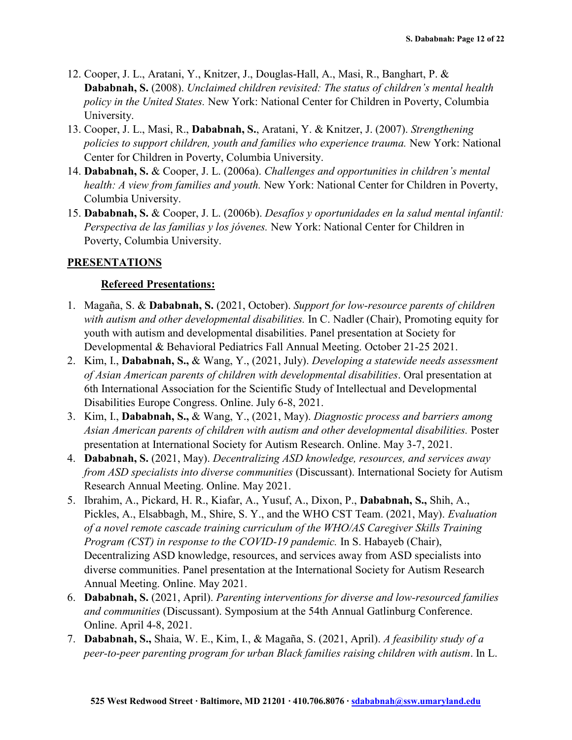- 12. Cooper, J. L., Aratani, Y., Knitzer, J., Douglas-Hall, A., Masi, R., Banghart, P. & **Dababnah, S.** (2008). *Unclaimed children revisited: The status of children's mental health policy in the United States.* New York: National Center for Children in Poverty, Columbia University.
- 13. Cooper, J. L., Masi, R., **Dababnah, S.**, Aratani, Y. & Knitzer, J. (2007). *Strengthening policies to support children, youth and families who experience trauma.* New York: National Center for Children in Poverty, Columbia University.
- 14. **Dababnah, S.** & Cooper, J. L. (2006a). *Challenges and opportunities in children's mental health: A view from families and youth.* New York: National Center for Children in Poverty, Columbia University.
- 15. **Dababnah, S.** & Cooper, J. L. (2006b). *Desafíos y oportunidades en la salud mental infantil: Perspectiva de las familias y los jóvenes.* New York: National Center for Children in Poverty, Columbia University.

#### **PRESENTATIONS**

#### **Refereed Presentations:**

- 1. Magaña, S. & **Dababnah, S.** (2021, October). *Support for low-resource parents of children with autism and other developmental disabilities.* In C. Nadler (Chair), Promoting equity for youth with autism and developmental disabilities. Panel presentation at Society for Developmental & Behavioral Pediatrics Fall Annual Meeting. October 21-25 2021.
- 2. Kim, I., **Dababnah, S.,** & Wang, Y., (2021, July). *Developing a statewide needs assessment of Asian American parents of children with developmental disabilities*. Oral presentation at 6th International Association for the Scientific Study of Intellectual and Developmental Disabilities Europe Congress. Online. July 6-8, 2021.
- 3. Kim, I., **Dababnah, S.,** & Wang, Y., (2021, May). *Diagnostic process and barriers among Asian American parents of children with autism and other developmental disabilities.* Poster presentation at International Society for Autism Research. Online. May 3-7, 2021.
- 4. **Dababnah, S.** (2021, May). *Decentralizing ASD knowledge, resources, and services away from ASD specialists into diverse communities* (Discussant). International Society for Autism Research Annual Meeting. Online. May 2021.
- 5. Ibrahim, A., Pickard, H. R., Kiafar, A., Yusuf, A., Dixon, P., **Dababnah, S.,** Shih, A., Pickles, A., Elsabbagh, M., Shire, S. Y., and the WHO CST Team. (2021, May). *Evaluation of a novel remote cascade training curriculum of the WHO/AS Caregiver Skills Training Program (CST) in response to the COVID-19 pandemic.* In S. Habayeb (Chair), Decentralizing ASD knowledge, resources, and services away from ASD specialists into diverse communities. Panel presentation at the International Society for Autism Research Annual Meeting. Online. May 2021.
- 6. **Dababnah, S.** (2021, April). *Parenting interventions for diverse and low-resourced families and communities* (Discussant). Symposium at the 54th Annual Gatlinburg Conference. Online. April 4-8, 2021.
- 7. **Dababnah, S.,** Shaia, W. E., Kim, I., & Magaña, S. (2021, April). *A feasibility study of a peer-to-peer parenting program for urban Black families raising children with autism*. In L.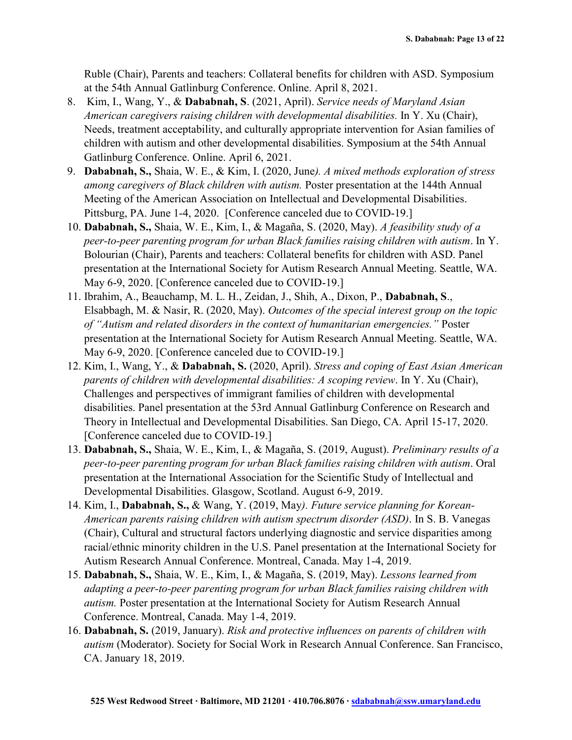Ruble (Chair), Parents and teachers: Collateral benefits for children with ASD. Symposium at the 54th Annual Gatlinburg Conference. Online. April 8, 2021.

- 8. Kim, I., Wang, Y., & **Dababnah, S**. (2021, April). *Service needs of Maryland Asian American caregivers raising children with developmental disabilities.* In Y. Xu (Chair), Needs, treatment acceptability, and culturally appropriate intervention for Asian families of children with autism and other developmental disabilities. Symposium at the 54th Annual Gatlinburg Conference. Online. April 6, 2021.
- 9. **Dababnah, S.,** Shaia, W. E., & Kim, I. (2020, June*). A mixed methods exploration of stress among caregivers of Black children with autism.* Poster presentation at the 144th Annual Meeting of the American Association on Intellectual and Developmental Disabilities. Pittsburg, PA. June 1-4, 2020. [Conference canceled due to COVID-19.]
- 10. **Dababnah, S.,** Shaia, W. E., Kim, I., & Magaña, S. (2020, May). *A feasibility study of a peer-to-peer parenting program for urban Black families raising children with autism*. In Y. Bolourian (Chair), Parents and teachers: Collateral benefits for children with ASD. Panel presentation at the International Society for Autism Research Annual Meeting. Seattle, WA. May 6-9, 2020. [Conference canceled due to COVID-19.]
- 11. Ibrahim, A., Beauchamp, M. L. H., Zeidan, J., Shih, A., Dixon, P., **Dababnah, S**., Elsabbagh, M. & Nasir, R. (2020, May). *Outcomes of the special interest group on the topic of "Autism and related disorders in the context of humanitarian emergencies."* Poster presentation at the International Society for Autism Research Annual Meeting. Seattle, WA. May 6-9, 2020. [Conference canceled due to COVID-19.]
- 12. Kim, I., Wang, Y., & **Dababnah, S.** (2020, April). *Stress and coping of East Asian American parents of children with developmental disabilities: A scoping review*. In Y. Xu (Chair), Challenges and perspectives of immigrant families of children with developmental disabilities. Panel presentation at the 53rd Annual Gatlinburg Conference on Research and Theory in Intellectual and Developmental Disabilities. San Diego, CA. April 15-17, 2020. [Conference canceled due to COVID-19.]
- 13. **Dababnah, S.,** Shaia, W. E., Kim, I., & Magaña, S. (2019, August). *Preliminary results of a peer-to-peer parenting program for urban Black families raising children with autism*. Oral presentation at the International Association for the Scientific Study of Intellectual and Developmental Disabilities. Glasgow, Scotland. August 6-9, 2019.
- 14. Kim, I., **Dababnah, S.,** & Wang, Y. (2019, May*). Future service planning for Korean-American parents raising children with autism spectrum disorder (ASD)*. In S. B. Vanegas (Chair), Cultural and structural factors underlying diagnostic and service disparities among racial/ethnic minority children in the U.S. Panel presentation at the International Society for Autism Research Annual Conference. Montreal, Canada. May 1-4, 2019.
- 15. **Dababnah, S.,** Shaia, W. E., Kim, I., & Magaña, S. (2019, May). *Lessons learned from adapting a peer-to-peer parenting program for urban Black families raising children with autism.* Poster presentation at the International Society for Autism Research Annual Conference. Montreal, Canada. May 1-4, 2019.
- 16. **Dababnah, S.** (2019, January). *Risk and protective influences on parents of children with autism* (Moderator). Society for Social Work in Research Annual Conference. San Francisco, CA. January 18, 2019.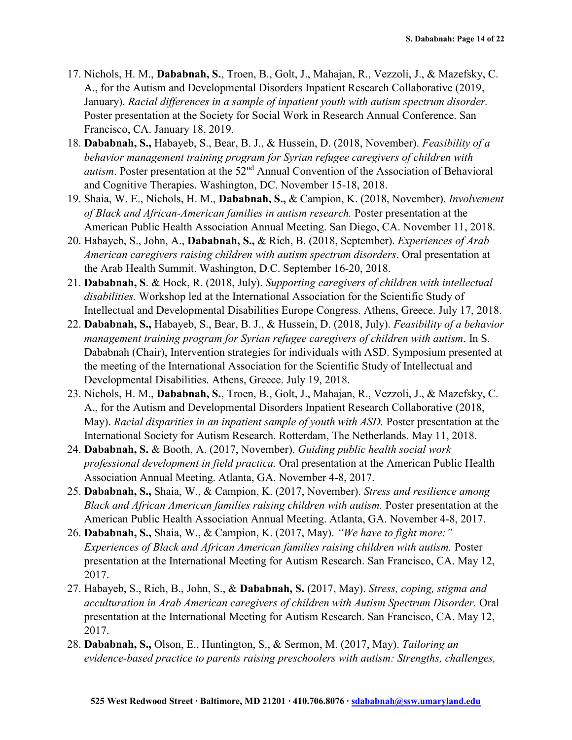- 17. Nichols, H. M., **Dababnah, S.**, Troen, B., Golt, J., Mahajan, R., Vezzoli, J., & Mazefsky, C. A., for the Autism and Developmental Disorders Inpatient Research Collaborative (2019, January). *Racial differences in a sample of inpatient youth with autism spectrum disorder.*  Poster presentation at the Society for Social Work in Research Annual Conference. San Francisco, CA. January 18, 2019.
- 18. **Dababnah, S.,** Habayeb, S., Bear, B. J., & Hussein, D. (2018, November). *Feasibility of a behavior management training program for Syrian refugee caregivers of children with autism*. Poster presentation at the 52<sup>nd</sup> Annual Convention of the Association of Behavioral and Cognitive Therapies. Washington, DC. November 15-18, 2018.
- 19. Shaia, W. E., Nichols, H. M., **Dababnah, S.,** & Campion, K. (2018, November). *Involvement of Black and African-American families in autism research.* Poster presentation at the American Public Health Association Annual Meeting. San Diego, CA. November 11, 2018.
- 20. Habayeb, S., John, A., **Dababnah, S.,** & Rich, B. (2018, September). *Experiences of Arab American caregivers raising children with autism spectrum disorders*. Oral presentation at the Arab Health Summit. Washington, D.C. September 16-20, 2018.
- 21. **Dababnah, S**. & Hock, R. (2018, July). *Supporting caregivers of children with intellectual disabilities.* Workshop led at the International Association for the Scientific Study of Intellectual and Developmental Disabilities Europe Congress. Athens, Greece. July 17, 2018.
- 22. **Dababnah, S.,** Habayeb, S., Bear, B. J., & Hussein, D. (2018, July). *Feasibility of a behavior management training program for Syrian refugee caregivers of children with autism*. In S. Dababnah (Chair), Intervention strategies for individuals with ASD. Symposium presented at the meeting of the International Association for the Scientific Study of Intellectual and Developmental Disabilities. Athens, Greece. July 19, 2018.
- 23. Nichols, H. M., **Dababnah, S.**, Troen, B., Golt, J., Mahajan, R., Vezzoli, J., & Mazefsky, C. A., for the Autism and Developmental Disorders Inpatient Research Collaborative (2018, May). *Racial disparities in an inpatient sample of youth with ASD.* Poster presentation at the International Society for Autism Research. Rotterdam, The Netherlands. May 11, 2018.
- 24. **Dababnah, S.** & Booth, A. (2017, November). *Guiding public health social work professional development in field practica.* Oral presentation at the American Public Health Association Annual Meeting. Atlanta, GA. November 4-8, 2017.
- 25. **Dababnah, S.,** Shaia, W., & Campion, K. (2017, November). *Stress and resilience among Black and African American families raising children with autism.* Poster presentation at the American Public Health Association Annual Meeting. Atlanta, GA. November 4-8, 2017.
- 26. **Dababnah, S.,** Shaia, W., & Campion, K. (2017, May). *"We have to fight more:" Experiences of Black and African American families raising children with autism. Poster* presentation at the International Meeting for Autism Research. San Francisco, CA. May 12, 2017.
- 27. Habayeb, S., Rich, B., John, S., & **Dababnah, S.** (2017, May). *Stress, coping, stigma and acculturation in Arab American caregivers of children with Autism Spectrum Disorder.* Oral presentation at the International Meeting for Autism Research. San Francisco, CA. May 12, 2017.
- 28. **Dababnah, S.,** Olson, E., Huntington, S., & Sermon, M. (2017, May). *Tailoring an evidence-based practice to parents raising preschoolers with autism: Strengths, challenges,*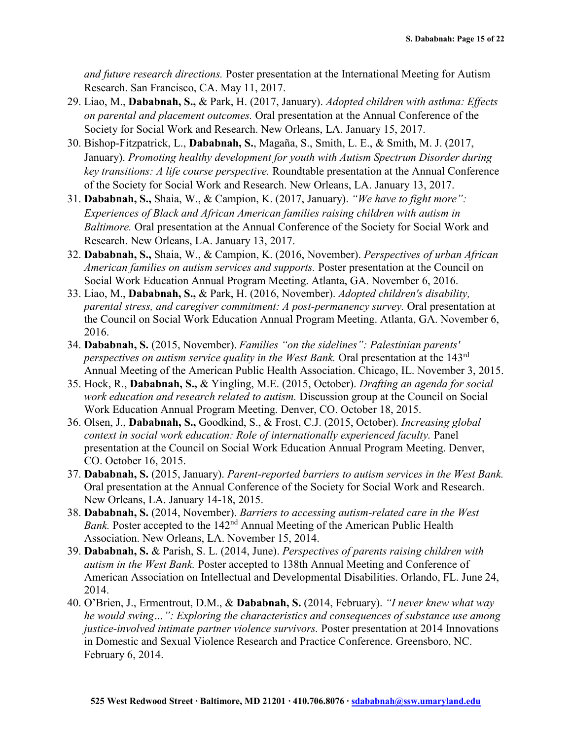*and future research directions.* Poster presentation at the International Meeting for Autism Research. San Francisco, CA. May 11, 2017.

- 29. Liao, M., **Dababnah, S.,** & Park, H. (2017, January). *Adopted children with asthma: Effects on parental and placement outcomes.* Oral presentation at the Annual Conference of the Society for Social Work and Research. New Orleans, LA. January 15, 2017.
- 30. Bishop-Fitzpatrick, L., **Dababnah, S.**, Magaña, S., Smith, L. E., & Smith, M. J. (2017, January). *Promoting healthy development for youth with Autism Spectrum Disorder during key transitions: A life course perspective.* Roundtable presentation at the Annual Conference of the Society for Social Work and Research. New Orleans, LA. January 13, 2017.
- 31. **Dababnah, S.,** Shaia, W., & Campion, K. (2017, January). *"We have to fight more": Experiences of Black and African American families raising children with autism in Baltimore.* Oral presentation at the Annual Conference of the Society for Social Work and Research. New Orleans, LA. January 13, 2017.
- 32. **Dababnah, S.,** Shaia, W., & Campion, K. (2016, November). *Perspectives of urban African American families on autism services and supports.* Poster presentation at the Council on Social Work Education Annual Program Meeting. Atlanta, GA. November 6, 2016.
- 33. Liao, M., **Dababnah, S.,** & Park, H. (2016, November). *Adopted children's disability, parental stress, and caregiver commitment: A post-permanency survey.* Oral presentation at the Council on Social Work Education Annual Program Meeting. Atlanta, GA. November 6, 2016.
- 34. **Dababnah, S.** (2015, November). *Families "on the sidelines": Palestinian parents' perspectives on autism service quality in the West Bank.* Oral presentation at the 143rd Annual Meeting of the American Public Health Association. Chicago, IL. November 3, 2015.
- 35. Hock, R., **Dababnah, S.,** & Yingling, M.E. (2015, October). *Drafting an agenda for social work education and research related to autism.* Discussion group at the Council on Social Work Education Annual Program Meeting. Denver, CO. October 18, 2015.
- 36. Olsen, J., **Dababnah, S.,** Goodkind, S., & Frost, C.J. (2015, October). *Increasing global context in social work education: Role of internationally experienced faculty.* Panel presentation at the Council on Social Work Education Annual Program Meeting. Denver, CO. October 16, 2015.
- 37. **Dababnah, S.** (2015, January). *Parent-reported barriers to autism services in the West Bank.*  Oral presentation at the Annual Conference of the Society for Social Work and Research. New Orleans, LA. January 14-18, 2015.
- 38. **Dababnah, S.** (2014, November). *Barriers to accessing autism-related care in the West Bank.* Poster accepted to the 142<sup>nd</sup> Annual Meeting of the American Public Health Association. New Orleans, LA. November 15, 2014.
- 39. **Dababnah, S.** & Parish, S. L. (2014, June). *Perspectives of parents raising children with autism in the West Bank.* Poster accepted to 138th Annual Meeting and Conference of American Association on Intellectual and Developmental Disabilities. Orlando, FL. June 24, 2014.
- 40. O'Brien, J., Ermentrout, D.M., & **Dababnah, S.** (2014, February). *"I never knew what way he would swing…": Exploring the characteristics and consequences of substance use among justice-involved intimate partner violence survivors.* Poster presentation at 2014 Innovations in Domestic and Sexual Violence Research and Practice Conference. Greensboro, NC. February 6, 2014.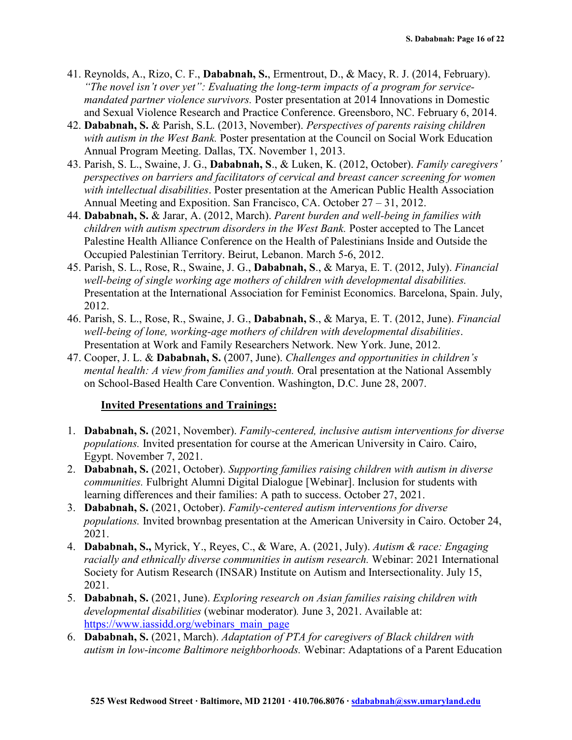- 41. Reynolds, A., Rizo, C. F., **Dababnah, S.**, Ermentrout, D., & Macy, R. J. (2014, February). *"The novel isn't over yet": Evaluating the long-term impacts of a program for servicemandated partner violence survivors.* Poster presentation at 2014 Innovations in Domestic and Sexual Violence Research and Practice Conference. Greensboro, NC. February 6, 2014.
- 42. **Dababnah, S.** & Parish, S.L. (2013, November). *Perspectives of parents raising children with autism in the West Bank.* Poster presentation at the Council on Social Work Education Annual Program Meeting. Dallas, TX. November 1, 2013.
- 43. Parish, S. L., Swaine, J. G., **Dababnah, S**., & Luken, K. (2012, October). *Family caregivers' perspectives on barriers and facilitators of cervical and breast cancer screening for women with intellectual disabilities*. Poster presentation at the American Public Health Association Annual Meeting and Exposition. San Francisco, CA. October 27 – 31, 2012.
- 44. **Dababnah, S.** & Jarar, A. (2012, March). *Parent burden and well-being in families with children with autism spectrum disorders in the West Bank.* Poster accepted to The Lancet Palestine Health Alliance Conference on the Health of Palestinians Inside and Outside the Occupied Palestinian Territory. Beirut, Lebanon. March 5-6, 2012.
- 45. Parish, S. L., Rose, R., Swaine, J. G., **Dababnah, S**., & Marya, E. T. (2012, July). *Financial well-being of single working age mothers of children with developmental disabilities.* Presentation at the International Association for Feminist Economics. Barcelona, Spain. July, 2012.
- 46. Parish, S. L., Rose, R., Swaine, J. G., **Dababnah, S**., & Marya, E. T. (2012, June). *Financial well-being of lone, working-age mothers of children with developmental disabilities*. Presentation at Work and Family Researchers Network. New York. June, 2012.
- 47. Cooper, J. L. & **Dababnah, S.** (2007, June). *Challenges and opportunities in children's mental health: A view from families and youth.* Oral presentation at the National Assembly on School-Based Health Care Convention. Washington, D.C. June 28, 2007.

#### **Invited Presentations and Trainings:**

- 1. **Dababnah, S.** (2021, November). *Family-centered, inclusive autism interventions for diverse populations.* Invited presentation for course at the American University in Cairo. Cairo, Egypt. November 7, 2021.
- 2. **Dababnah, S.** (2021, October). *Supporting families raising children with autism in diverse communities.* Fulbright Alumni Digital Dialogue [Webinar]. Inclusion for students with learning differences and their families: A path to success. October 27, 2021.
- 3. **Dababnah, S.** (2021, October). *Family-centered autism interventions for diverse populations.* Invited brownbag presentation at the American University in Cairo. October 24, 2021.
- 4. **Dababnah, S.,** Myrick, Y., Reyes, C., & Ware, A. (2021, July). *Autism & race: Engaging racially and ethnically diverse communities in autism research.* Webinar: 2021 International Society for Autism Research (INSAR) Institute on Autism and Intersectionality. July 15, 2021.
- 5. **Dababnah, S.** (2021, June). *Exploring research on Asian families raising children with developmental disabilities* (webinar moderator)*.* June 3, 2021. Available at: [https://www.iassidd.org/webinars\\_main\\_page](https://www.iassidd.org/webinars_main_page)
- 6. **Dababnah, S.** (2021, March). *Adaptation of PTA for caregivers of Black children with autism in low-income Baltimore neighborhoods.* Webinar: Adaptations of a Parent Education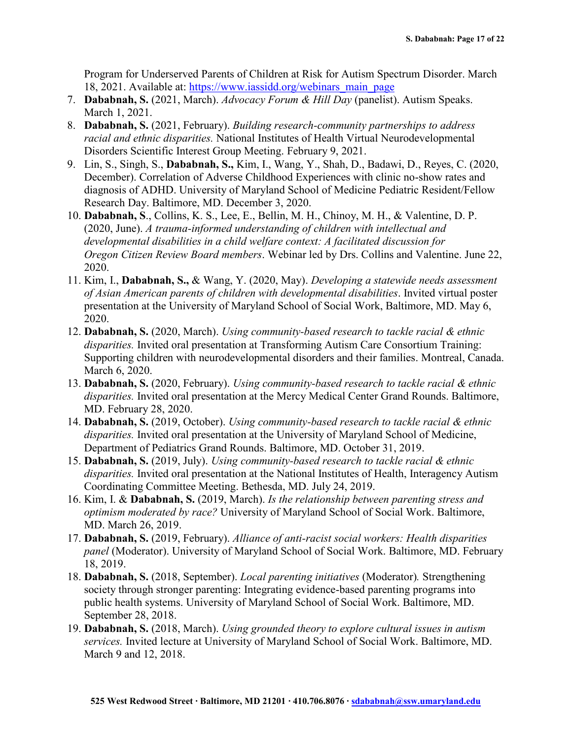Program for Underserved Parents of Children at Risk for Autism Spectrum Disorder. March 18, 2021. Available at: [https://www.iassidd.org/webinars\\_main\\_page](https://www.iassidd.org/webinars_main_page)

- 7. **Dababnah, S.** (2021, March). *Advocacy Forum & Hill Day* (panelist). Autism Speaks. March 1, 2021.
- 8. **Dababnah, S.** (2021, February). *Building research-community partnerships to address racial and ethnic disparities.* National Institutes of Health Virtual Neurodevelopmental Disorders Scientific Interest Group Meeting. February 9, 2021.
- 9. Lin, S., Singh, S., **Dababnah, S.,** Kim, I., Wang, Y., Shah, D., Badawi, D., Reyes, C. (2020, December). Correlation of Adverse Childhood Experiences with clinic no-show rates and diagnosis of ADHD. University of Maryland School of Medicine Pediatric Resident/Fellow Research Day. Baltimore, MD. December 3, 2020.
- 10. **Dababnah, S**., Collins, K. S., Lee, E., Bellin, M. H., Chinoy, M. H., & Valentine, D. P. (2020, June). *A trauma-informed understanding of children with intellectual and developmental disabilities in a child welfare context: A facilitated discussion for Oregon Citizen Review Board members*. Webinar led by Drs. Collins and Valentine. June 22, 2020.
- 11. Kim, I., **Dababnah, S.,** & Wang, Y. (2020, May). *Developing a statewide needs assessment of Asian American parents of children with developmental disabilities*. Invited virtual poster presentation at the University of Maryland School of Social Work, Baltimore, MD. May 6, 2020.
- 12. **Dababnah, S.** (2020, March). *Using community-based research to tackle racial & ethnic disparities.* Invited oral presentation at Transforming Autism Care Consortium Training: Supporting children with neurodevelopmental disorders and their families. Montreal, Canada. March 6, 2020.
- 13. **Dababnah, S.** (2020, February). *Using community-based research to tackle racial & ethnic disparities.* Invited oral presentation at the Mercy Medical Center Grand Rounds. Baltimore, MD. February 28, 2020.
- 14. **Dababnah, S.** (2019, October). *Using community-based research to tackle racial & ethnic disparities.* Invited oral presentation at the University of Maryland School of Medicine, Department of Pediatrics Grand Rounds. Baltimore, MD. October 31, 2019.
- 15. **Dababnah, S.** (2019, July). *Using community-based research to tackle racial & ethnic disparities.* Invited oral presentation at the National Institutes of Health, Interagency Autism Coordinating Committee Meeting. Bethesda, MD. July 24, 2019.
- 16. Kim, I. & **Dababnah, S.** (2019, March). *Is the relationship between parenting stress and optimism moderated by race?* University of Maryland School of Social Work. Baltimore, MD. March 26, 2019.
- 17. **Dababnah, S.** (2019, February). *Alliance of anti-racist social workers: Health disparities panel* (Moderator). University of Maryland School of Social Work. Baltimore, MD. February 18, 2019.
- 18. **Dababnah, S.** (2018, September). *Local parenting initiatives* (Moderator)*.* Strengthening society through stronger parenting: Integrating evidence-based parenting programs into public health systems. University of Maryland School of Social Work. Baltimore, MD. September 28, 2018.
- 19. **Dababnah, S.** (2018, March). *Using grounded theory to explore cultural issues in autism services.* Invited lecture at University of Maryland School of Social Work. Baltimore, MD. March 9 and 12, 2018.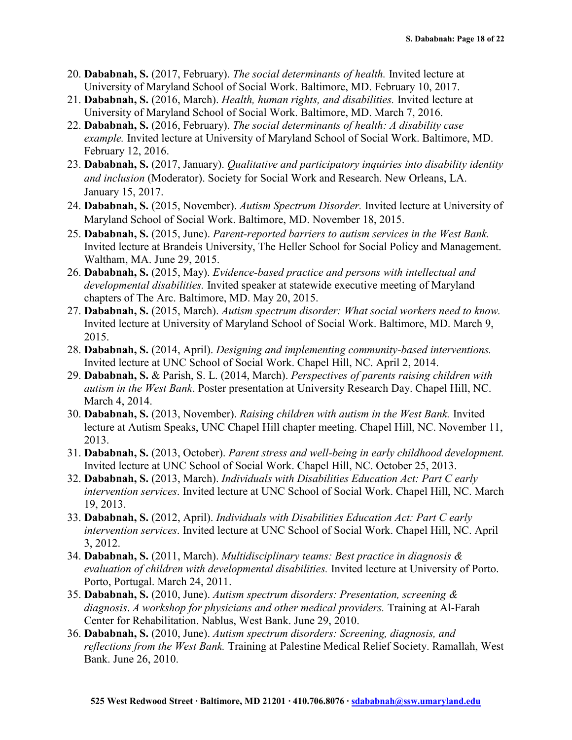- 20. **Dababnah, S.** (2017, February). *The social determinants of health.* Invited lecture at University of Maryland School of Social Work. Baltimore, MD. February 10, 2017.
- 21. **Dababnah, S.** (2016, March). *Health, human rights, and disabilities.* Invited lecture at University of Maryland School of Social Work. Baltimore, MD. March 7, 2016.
- 22. **Dababnah, S.** (2016, February). *The social determinants of health: A disability case example.* Invited lecture at University of Maryland School of Social Work. Baltimore, MD. February 12, 2016.
- 23. **Dababnah, S.** (2017, January). *Qualitative and participatory inquiries into disability identity and inclusion* (Moderator). Society for Social Work and Research. New Orleans, LA. January 15, 2017.
- 24. **Dababnah, S.** (2015, November). *Autism Spectrum Disorder.* Invited lecture at University of Maryland School of Social Work. Baltimore, MD. November 18, 2015.
- 25. **Dababnah, S.** (2015, June). *Parent-reported barriers to autism services in the West Bank.*  Invited lecture at Brandeis University, The Heller School for Social Policy and Management. Waltham, MA. June 29, 2015.
- 26. **Dababnah, S.** (2015, May). *Evidence-based practice and persons with intellectual and developmental disabilities.* Invited speaker at statewide executive meeting of Maryland chapters of The Arc. Baltimore, MD. May 20, 2015.
- 27. **Dababnah, S.** (2015, March). *Autism spectrum disorder: What social workers need to know.*  Invited lecture at University of Maryland School of Social Work. Baltimore, MD. March 9, 2015.
- 28. **Dababnah, S.** (2014, April). *Designing and implementing community-based interventions.*  Invited lecture at UNC School of Social Work. Chapel Hill, NC. April 2, 2014.
- 29. **Dababnah, S.** & Parish, S. L. (2014, March). *Perspectives of parents raising children with autism in the West Bank*. Poster presentation at University Research Day. Chapel Hill, NC. March 4, 2014.
- 30. **Dababnah, S.** (2013, November). *Raising children with autism in the West Bank.* Invited lecture at Autism Speaks, UNC Chapel Hill chapter meeting. Chapel Hill, NC. November 11, 2013.
- 31. **Dababnah, S.** (2013, October). *Parent stress and well-being in early childhood development.* Invited lecture at UNC School of Social Work. Chapel Hill, NC. October 25, 2013.
- 32. **Dababnah, S.** (2013, March). *Individuals with Disabilities Education Act: Part C early intervention services*. Invited lecture at UNC School of Social Work. Chapel Hill, NC. March 19, 2013.
- 33. **Dababnah, S.** (2012, April). *Individuals with Disabilities Education Act: Part C early intervention services*. Invited lecture at UNC School of Social Work. Chapel Hill, NC. April 3, 2012.
- 34. **Dababnah, S.** (2011, March). *Multidisciplinary teams: Best practice in diagnosis & evaluation of children with developmental disabilities.* Invited lecture at University of Porto. Porto, Portugal. March 24, 2011.
- 35. **Dababnah, S.** (2010, June). *Autism spectrum disorders: Presentation, screening & diagnosis*. *A workshop for physicians and other medical providers.* Training at Al-Farah Center for Rehabilitation. Nablus, West Bank. June 29, 2010.
- 36. **Dababnah, S.** (2010, June). *Autism spectrum disorders: Screening, diagnosis, and reflections from the West Bank.* Training at Palestine Medical Relief Society. Ramallah, West Bank. June 26, 2010.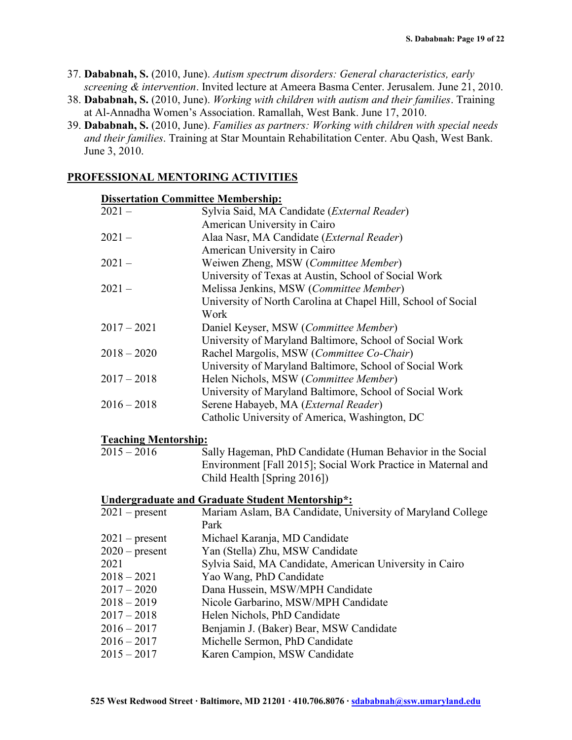- 37. **Dababnah, S.** (2010, June). *Autism spectrum disorders: General characteristics, early screening & intervention*. Invited lecture at Ameera Basma Center. Jerusalem. June 21, 2010.
- 38. **Dababnah, S.** (2010, June). *Working with children with autism and their families*. Training at Al-Annadha Women's Association. Ramallah, West Bank. June 17, 2010.
- 39. **Dababnah, S.** (2010, June). *Families as partners: Working with children with special needs and their families*. Training at Star Mountain Rehabilitation Center. Abu Qash, West Bank. June 3, 2010.

# **PROFESSIONAL MENTORING ACTIVITIES**

| <b>Dissertation Committee Membership:</b> |                                                               |  |
|-------------------------------------------|---------------------------------------------------------------|--|
| $2021 -$                                  | Sylvia Said, MA Candidate (External Reader)                   |  |
|                                           | American University in Cairo                                  |  |
| $2021 -$                                  | Alaa Nasr, MA Candidate (External Reader)                     |  |
|                                           | American University in Cairo                                  |  |
| $2021 -$                                  | Weiwen Zheng, MSW (Committee Member)                          |  |
|                                           | University of Texas at Austin, School of Social Work          |  |
| $2021 -$                                  | Melissa Jenkins, MSW (Committee Member)                       |  |
|                                           | University of North Carolina at Chapel Hill, School of Social |  |
|                                           | Work                                                          |  |
| $2017 - 2021$                             | Daniel Keyser, MSW (Committee Member)                         |  |
|                                           | University of Maryland Baltimore, School of Social Work       |  |
| $2018 - 2020$                             | Rachel Margolis, MSW (Committee Co-Chair)                     |  |
|                                           | University of Maryland Baltimore, School of Social Work       |  |
| $2017 - 2018$                             | Helen Nichols, MSW (Committee Member)                         |  |
|                                           | University of Maryland Baltimore, School of Social Work       |  |
| $2016 - 2018$                             | Serene Habayeb, MA (External Reader)                          |  |
|                                           | Catholic University of America, Washington, DC                |  |
| <b>Teaching Mentorship:</b>               |                                                               |  |
| $2015 - 2016$                             | Sally Hageman, PhD Candidate (Human Behavior in the Social    |  |
|                                           | Environment [Fall 2015]; Social Work Practice in Maternal and |  |
|                                           | Child Health [Spring 2016])                                   |  |
|                                           | <b>Undergraduate and Graduate Student Mentorship*:</b>        |  |
| $2021$ – present                          | Mariam Aslam, BA Candidate, University of Maryland College    |  |
|                                           | Park                                                          |  |
| $2021$ – present                          | Michael Karanja, MD Candidate                                 |  |
| $2020$ – present                          | Yan (Stella) Zhu, MSW Candidate                               |  |
| 2021                                      | Sylvia Said, MA Candidate, American University in Cairo       |  |
| $2018 - 2021$                             | Yao Wang, PhD Candidate                                       |  |
| $2017 - 2020$                             | Dana Hussein, MSW/MPH Candidate                               |  |
| $2018 - 2019$                             | Nicole Garbarino, MSW/MPH Candidate                           |  |
| $2017 - 2018$                             | Helen Nichols, PhD Candidate                                  |  |
| $2016 - 2017$                             | Benjamin J. (Baker) Bear, MSW Candidate                       |  |
| $2016 - 2017$                             | Michelle Sermon, PhD Candidate                                |  |
| $2015 - 2017$                             | Karen Campion, MSW Candidate                                  |  |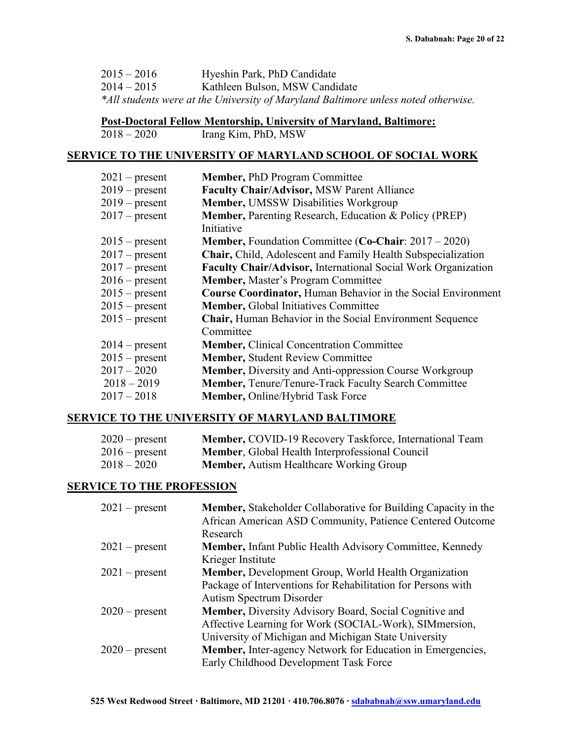| $2015 - 2016$ | Hyeshin Park, PhD Candidate |
|---------------|-----------------------------|
|---------------|-----------------------------|

2014 – 2015 Kathleen Bulson, MSW Candidate

*\*All students were at the University of Maryland Baltimore unless noted otherwise.* 

# **Post-Doctoral Fellow Mentorship, University of Maryland, Baltimore:**

Irang Kim, PhD, MSW

#### **SERVICE TO THE UNIVERSITY OF MARYLAND SCHOOL OF SOCIAL WORK**

| $2021$ – present | <b>Member, PhD Program Committee</b>                                |
|------------------|---------------------------------------------------------------------|
| $2019$ – present | <b>Faculty Chair/Advisor, MSW Parent Alliance</b>                   |
| $2019$ – present | Member, UMSSW Disabilities Workgroup                                |
| $2017$ – present | Member, Parenting Research, Education & Policy (PREP)               |
|                  | Initiative                                                          |
| $2015$ – present | <b>Member, Foundation Committee (Co-Chair: 2017 – 2020)</b>         |
| $2017$ – present | Chair, Child, Adolescent and Family Health Subspecialization        |
| $2017$ – present | Faculty Chair/Advisor, International Social Work Organization       |
| $2016$ – present | Member, Master's Program Committee                                  |
| $2015$ – present | <b>Course Coordinator, Human Behavior in the Social Environment</b> |
| $2015$ – present | <b>Member, Global Initiatives Committee</b>                         |
| $2015$ – present | <b>Chair, Human Behavior in the Social Environment Sequence</b>     |
|                  | Committee                                                           |
| $2014$ – present | <b>Member, Clinical Concentration Committee</b>                     |
| $2015$ – present | <b>Member, Student Review Committee</b>                             |
| $2017 - 2020$    | <b>Member, Diversity and Anti-oppression Course Workgroup</b>       |
| $2018 - 2019$    | <b>Member, Tenure/Tenure-Track Faculty Search Committee</b>         |
| $2017 - 2018$    | Member, Online/Hybrid Task Force                                    |
|                  |                                                                     |

## **SERVICE TO THE UNIVERSITY OF MARYLAND BALTIMORE**

| $2020$ – present | Member, COVID-19 Recovery Taskforce, International Team |
|------------------|---------------------------------------------------------|
| $2016$ – present | <b>Member, Global Health Interprofessional Council</b>  |
| $2018 - 2020$    | <b>Member, Autism Healthcare Working Group</b>          |

#### **SERVICE TO THE PROFESSION**

| $2021$ – present | <b>Member, Stakeholder Collaborative for Building Capacity in the</b> |
|------------------|-----------------------------------------------------------------------|
|                  | African American ASD Community, Patience Centered Outcome             |
|                  | Research                                                              |
| $2021$ – present | Member, Infant Public Health Advisory Committee, Kennedy              |
|                  | Krieger Institute                                                     |
| $2021$ – present | <b>Member, Development Group, World Health Organization</b>           |
|                  | Package of Interventions for Rehabilitation for Persons with          |
|                  | <b>Autism Spectrum Disorder</b>                                       |
| $2020$ – present | Member, Diversity Advisory Board, Social Cognitive and                |
|                  | Affective Learning for Work (SOCIAL-Work), SIMmersion,                |
|                  | University of Michigan and Michigan State University                  |
| $2020$ – present | Member, Inter-agency Network for Education in Emergencies,            |
|                  | Early Childhood Development Task Force                                |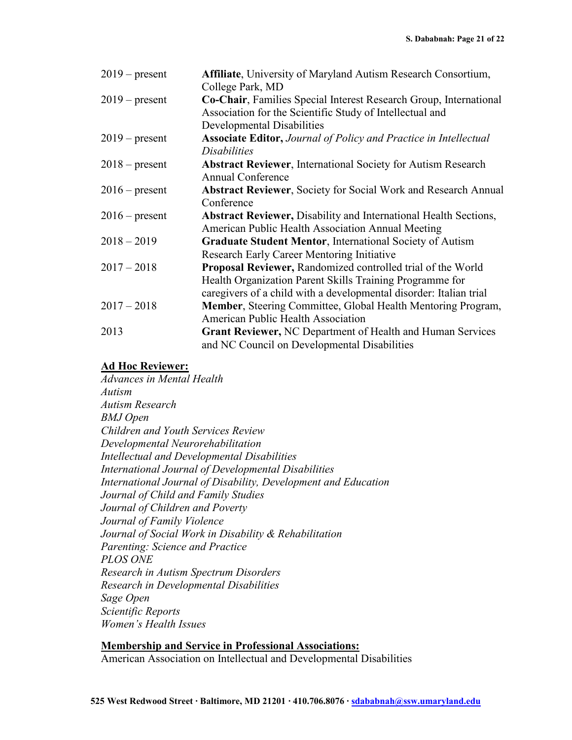| $2019$ – present | Affiliate, University of Maryland Autism Research Consortium,           |
|------------------|-------------------------------------------------------------------------|
|                  | College Park, MD                                                        |
| $2019$ – present | Co-Chair, Families Special Interest Research Group, International       |
|                  | Association for the Scientific Study of Intellectual and                |
|                  | Developmental Disabilities                                              |
| $2019$ – present | <b>Associate Editor, Journal of Policy and Practice in Intellectual</b> |
|                  | <i>Disabilities</i>                                                     |
| $2018$ – present | <b>Abstract Reviewer</b> , International Society for Autism Research    |
|                  | <b>Annual Conference</b>                                                |
| $2016$ – present | <b>Abstract Reviewer, Society for Social Work and Research Annual</b>   |
|                  | Conference                                                              |
| $2016$ – present | <b>Abstract Reviewer, Disability and International Health Sections,</b> |
|                  | American Public Health Association Annual Meeting                       |
| $2018 - 2019$    | <b>Graduate Student Mentor, International Society of Autism</b>         |
|                  | Research Early Career Mentoring Initiative                              |
| $2017 - 2018$    | <b>Proposal Reviewer, Randomized controlled trial of the World</b>      |
|                  | Health Organization Parent Skills Training Programme for                |
|                  | caregivers of a child with a developmental disorder: Italian trial      |
| $2017 - 2018$    | Member, Steering Committee, Global Health Mentoring Program,            |
|                  | American Public Health Association                                      |
| 2013             | Grant Reviewer, NC Department of Health and Human Services              |
|                  | and NC Council on Developmental Disabilities                            |

# **Ad Hoc Reviewer:**

*Advances in Mental Health Autism Autism Research BMJ Open Children and Youth Services Review Developmental Neurorehabilitation Intellectual and Developmental Disabilities International Journal of Developmental Disabilities International Journal of Disability, Development and Education Journal of Child and Family Studies Journal of Children and Poverty Journal of Family Violence Journal of Social Work in Disability & Rehabilitation Parenting: Science and Practice PLOS ONE Research in Autism Spectrum Disorders Research in Developmental Disabilities Sage Open Scientific Reports Women's Health Issues* 

#### **Membership and Service in Professional Associations:**

American Association on Intellectual and Developmental Disabilities